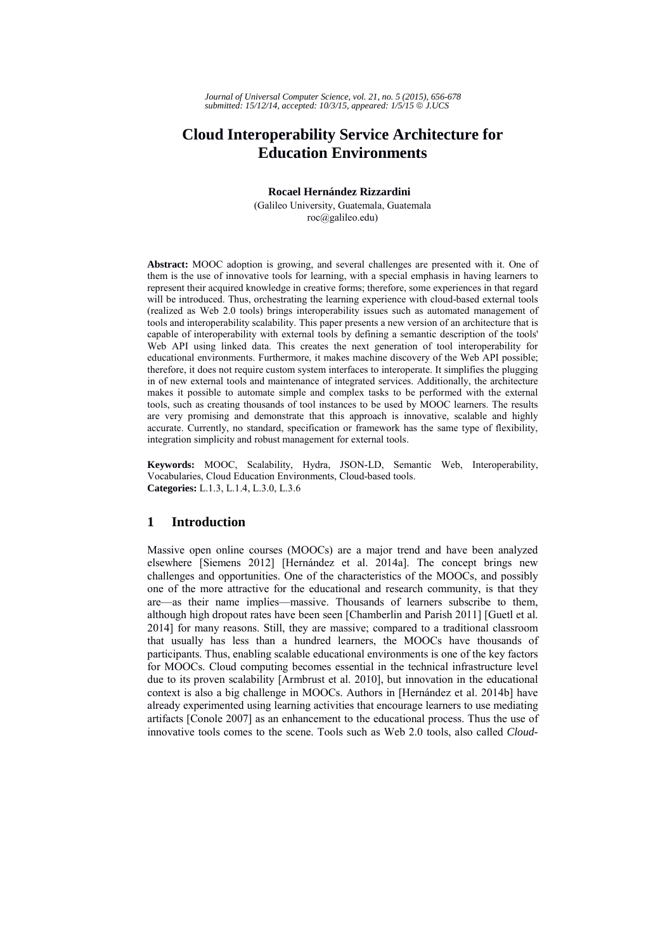# **Cloud Interoperability Service Architecture for Education Environments**

**Rocael Hernández Rizzardini**

(Galileo University, Guatemala, Guatemala roc@galileo.edu)

**Abstract:** MOOC adoption is growing, and several challenges are presented with it. One of them is the use of innovative tools for learning, with a special emphasis in having learners to represent their acquired knowledge in creative forms; therefore, some experiences in that regard will be introduced. Thus, orchestrating the learning experience with cloud-based external tools (realized as Web 2.0 tools) brings interoperability issues such as automated management of tools and interoperability scalability. This paper presents a new version of an architecture that is capable of interoperability with external tools by defining a semantic description of the tools' Web API using linked data. This creates the next generation of tool interoperability for educational environments. Furthermore, it makes machine discovery of the Web API possible; therefore, it does not require custom system interfaces to interoperate. It simplifies the plugging in of new external tools and maintenance of integrated services. Additionally, the architecture makes it possible to automate simple and complex tasks to be performed with the external tools, such as creating thousands of tool instances to be used by MOOC learners. The results are very promising and demonstrate that this approach is innovative, scalable and highly accurate. Currently, no standard, specification or framework has the same type of flexibility, integration simplicity and robust management for external tools.

**Keywords:** MOOC, Scalability, Hydra, JSON-LD, Semantic Web, Interoperability, Vocabularies, Cloud Education Environments, Cloud-based tools. **Categories:** L.1.3, L.1.4, L.3.0, L.3.6

# **1 Introduction**

Massive open online courses (MOOCs) are a major trend and have been analyzed elsewhere [Siemens 2012] [Hernández et al. 2014a]. The concept brings new challenges and opportunities. One of the characteristics of the MOOCs, and possibly one of the more attractive for the educational and research community, is that they are—as their name implies—massive. Thousands of learners subscribe to them, although high dropout rates have been seen [Chamberlin and Parish 2011] [Guetl et al. 2014] for many reasons. Still, they are massive; compared to a traditional classroom that usually has less than a hundred learners, the MOOCs have thousands of participants. Thus, enabling scalable educational environments is one of the key factors for MOOCs. Cloud computing becomes essential in the technical infrastructure level due to its proven scalability [Armbrust et al. 2010], but innovation in the educational context is also a big challenge in MOOCs. Authors in [Hernández et al. 2014b] have already experimented using learning activities that encourage learners to use mediating artifacts [Conole 2007] as an enhancement to the educational process. Thus the use of innovative tools comes to the scene. Tools such as Web 2.0 tools, also called *Cloud-*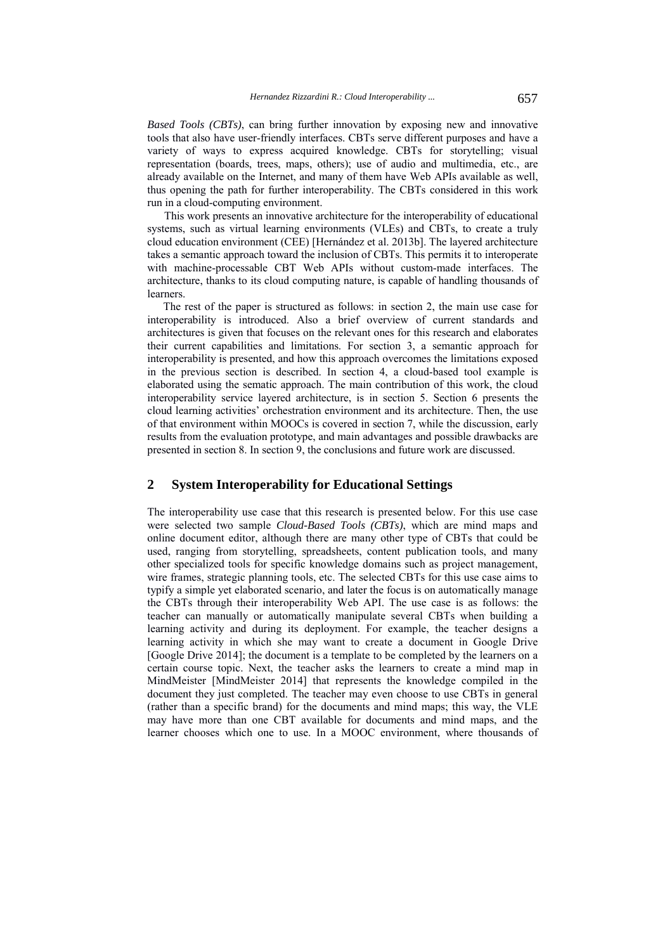*Based Tools (CBTs)*, can bring further innovation by exposing new and innovative tools that also have user-friendly interfaces. CBTs serve different purposes and have a variety of ways to express acquired knowledge. CBTs for storytelling; visual representation (boards, trees, maps, others); use of audio and multimedia, etc., are already available on the Internet, and many of them have Web APIs available as well, thus opening the path for further interoperability. The CBTs considered in this work run in a cloud-computing environment.

 This work presents an innovative architecture for the interoperability of educational systems, such as virtual learning environments (VLEs) and CBTs, to create a truly cloud education environment (CEE) [Hernández et al. 2013b]. The layered architecture takes a semantic approach toward the inclusion of CBTs. This permits it to interoperate with machine-processable CBT Web APIs without custom-made interfaces. The architecture, thanks to its cloud computing nature, is capable of handling thousands of learners.

 The rest of the paper is structured as follows: in section 2, the main use case for interoperability is introduced. Also a brief overview of current standards and architectures is given that focuses on the relevant ones for this research and elaborates their current capabilities and limitations. For section 3, a semantic approach for interoperability is presented, and how this approach overcomes the limitations exposed in the previous section is described. In section 4, a cloud-based tool example is elaborated using the sematic approach. The main contribution of this work, the cloud interoperability service layered architecture, is in section 5. Section 6 presents the cloud learning activities' orchestration environment and its architecture. Then, the use of that environment within MOOCs is covered in section 7, while the discussion, early results from the evaluation prototype, and main advantages and possible drawbacks are presented in section 8. In section 9, the conclusions and future work are discussed.

### **2 System Interoperability for Educational Settings**

The interoperability use case that this research is presented below. For this use case were selected two sample *Cloud-Based Tools (CBTs)*, which are mind maps and online document editor, although there are many other type of CBTs that could be used, ranging from storytelling, spreadsheets, content publication tools, and many other specialized tools for specific knowledge domains such as project management, wire frames, strategic planning tools, etc. The selected CBTs for this use case aims to typify a simple yet elaborated scenario, and later the focus is on automatically manage the CBTs through their interoperability Web API. The use case is as follows: the teacher can manually or automatically manipulate several CBTs when building a learning activity and during its deployment. For example, the teacher designs a learning activity in which she may want to create a document in Google Drive [Google Drive 2014]; the document is a template to be completed by the learners on a certain course topic. Next, the teacher asks the learners to create a mind map in MindMeister [MindMeister 2014] that represents the knowledge compiled in the document they just completed. The teacher may even choose to use CBTs in general (rather than a specific brand) for the documents and mind maps; this way, the VLE may have more than one CBT available for documents and mind maps, and the learner chooses which one to use. In a MOOC environment, where thousands of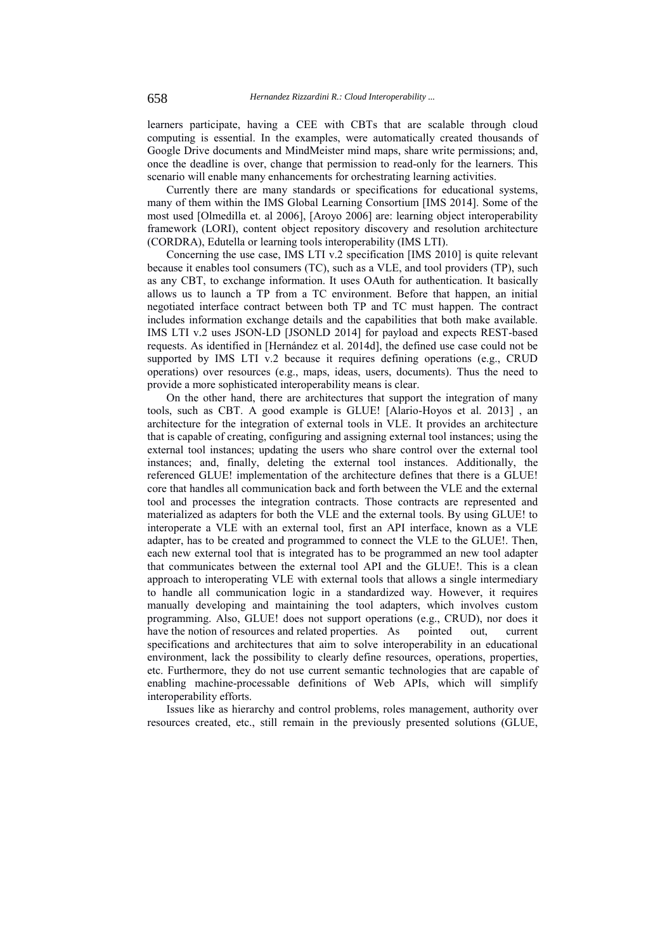learners participate, having a CEE with CBTs that are scalable through cloud computing is essential. In the examples, were automatically created thousands of Google Drive documents and MindMeister mind maps, share write permissions; and, once the deadline is over, change that permission to read-only for the learners. This scenario will enable many enhancements for orchestrating learning activities.

Currently there are many standards or specifications for educational systems, many of them within the IMS Global Learning Consortium [IMS 2014]. Some of the most used [Olmedilla et. al 2006], [Aroyo 2006] are: learning object interoperability framework (LORI), content object repository discovery and resolution architecture (CORDRA), Edutella or learning tools interoperability (IMS LTI).

Concerning the use case, IMS LTI v.2 specification [IMS 2010] is quite relevant because it enables tool consumers (TC), such as a VLE, and tool providers (TP), such as any CBT, to exchange information. It uses OAuth for authentication. It basically allows us to launch a TP from a TC environment. Before that happen, an initial negotiated interface contract between both TP and TC must happen. The contract includes information exchange details and the capabilities that both make available. IMS LTI v.2 uses JSON-LD [JSONLD 2014] for payload and expects REST-based requests. As identified in [Hernández et al. 2014d], the defined use case could not be supported by IMS LTI v.2 because it requires defining operations (e.g., CRUD operations) over resources (e.g., maps, ideas, users, documents). Thus the need to provide a more sophisticated interoperability means is clear.

On the other hand, there are architectures that support the integration of many tools, such as CBT. A good example is GLUE! [Alario-Hoyos et al. 2013] , an architecture for the integration of external tools in VLE. It provides an architecture that is capable of creating, configuring and assigning external tool instances; using the external tool instances; updating the users who share control over the external tool instances; and, finally, deleting the external tool instances. Additionally, the referenced GLUE! implementation of the architecture defines that there is a GLUE! core that handles all communication back and forth between the VLE and the external tool and processes the integration contracts. Those contracts are represented and materialized as adapters for both the VLE and the external tools. By using GLUE! to interoperate a VLE with an external tool, first an API interface, known as a VLE adapter, has to be created and programmed to connect the VLE to the GLUE!. Then, each new external tool that is integrated has to be programmed an new tool adapter that communicates between the external tool API and the GLUE!. This is a clean approach to interoperating VLE with external tools that allows a single intermediary to handle all communication logic in a standardized way. However, it requires manually developing and maintaining the tool adapters, which involves custom programming. Also, GLUE! does not support operations (e.g., CRUD), nor does it have the notion of resources and related properties. As pointed out, current specifications and architectures that aim to solve interoperability in an educational environment, lack the possibility to clearly define resources, operations, properties, etc. Furthermore, they do not use current semantic technologies that are capable of enabling machine-processable definitions of Web APIs, which will simplify interoperability efforts.

Issues like as hierarchy and control problems, roles management, authority over resources created, etc., still remain in the previously presented solutions (GLUE,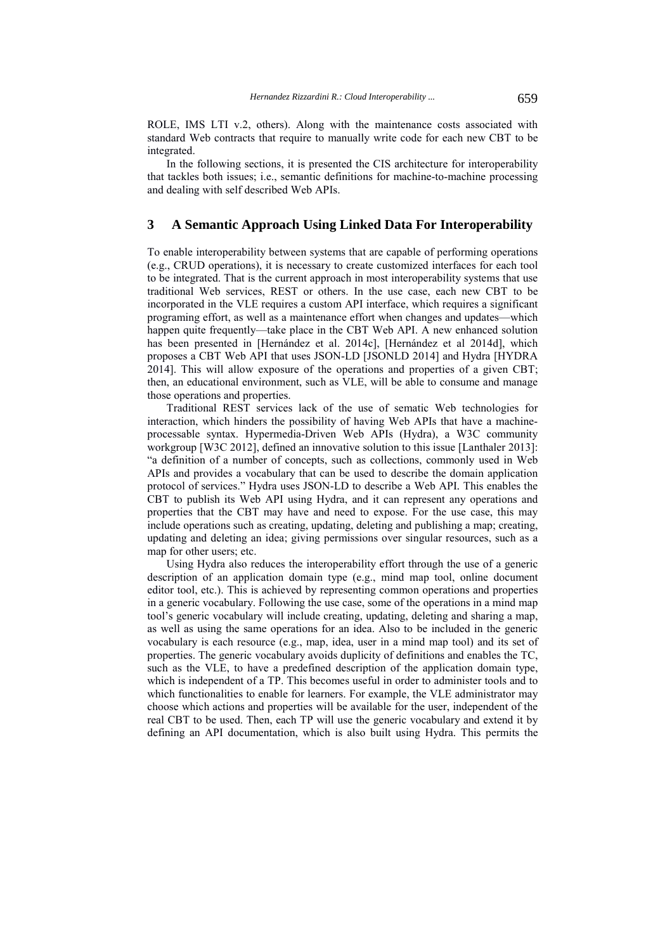ROLE, IMS LTI v.2, others). Along with the maintenance costs associated with standard Web contracts that require to manually write code for each new CBT to be integrated.

In the following sections, it is presented the CIS architecture for interoperability that tackles both issues; i.e., semantic definitions for machine-to-machine processing and dealing with self described Web APIs.

## **3 A Semantic Approach Using Linked Data For Interoperability**

To enable interoperability between systems that are capable of performing operations (e.g., CRUD operations), it is necessary to create customized interfaces for each tool to be integrated. That is the current approach in most interoperability systems that use traditional Web services, REST or others. In the use case, each new CBT to be incorporated in the VLE requires a custom API interface, which requires a significant programing effort, as well as a maintenance effort when changes and updates—which happen quite frequently—take place in the CBT Web API. A new enhanced solution has been presented in [Hernández et al. 2014c], [Hernández et al 2014d], which proposes a CBT Web API that uses JSON-LD [JSONLD 2014] and Hydra [HYDRA 2014]. This will allow exposure of the operations and properties of a given CBT; then, an educational environment, such as VLE, will be able to consume and manage those operations and properties.

Traditional REST services lack of the use of sematic Web technologies for interaction, which hinders the possibility of having Web APIs that have a machineprocessable syntax. Hypermedia-Driven Web APIs (Hydra), a W3C community workgroup [W3C 2012], defined an innovative solution to this issue [Lanthaler 2013]: "a definition of a number of concepts, such as collections, commonly used in Web APIs and provides a vocabulary that can be used to describe the domain application protocol of services." Hydra uses JSON-LD to describe a Web API*.* This enables the CBT to publish its Web API using Hydra, and it can represent any operations and properties that the CBT may have and need to expose. For the use case, this may include operations such as creating, updating, deleting and publishing a map; creating, updating and deleting an idea; giving permissions over singular resources, such as a map for other users; etc.

Using Hydra also reduces the interoperability effort through the use of a generic description of an application domain type (e.g., mind map tool, online document editor tool, etc.). This is achieved by representing common operations and properties in a generic vocabulary. Following the use case, some of the operations in a mind map tool's generic vocabulary will include creating, updating, deleting and sharing a map, as well as using the same operations for an idea. Also to be included in the generic vocabulary is each resource (e.g., map, idea, user in a mind map tool) and its set of properties. The generic vocabulary avoids duplicity of definitions and enables the TC, such as the VLE, to have a predefined description of the application domain type, which is independent of a TP. This becomes useful in order to administer tools and to which functionalities to enable for learners. For example, the VLE administrator may choose which actions and properties will be available for the user, independent of the real CBT to be used. Then, each TP will use the generic vocabulary and extend it by defining an API documentation, which is also built using Hydra. This permits the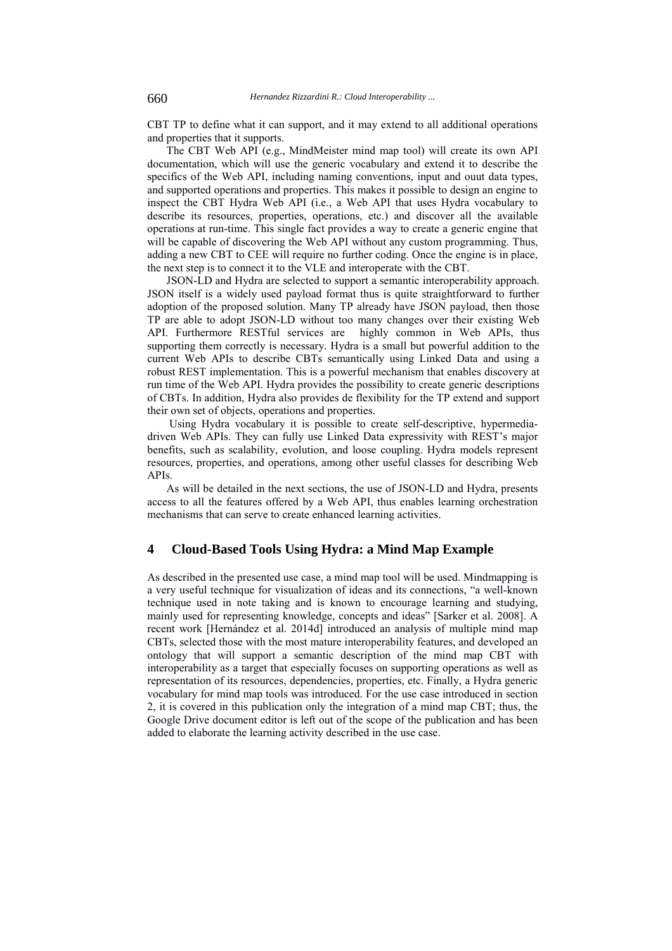CBT TP to define what it can support, and it may extend to all additional operations and properties that it supports.

The CBT Web API (e.g., MindMeister mind map tool) will create its own API documentation, which will use the generic vocabulary and extend it to describe the specifics of the Web API, including naming conventions, input and ouut data types, and supported operations and properties. This makes it possible to design an engine to inspect the CBT Hydra Web API (i.e., a Web API that uses Hydra vocabulary to describe its resources, properties, operations, etc.) and discover all the available operations at run-time. This single fact provides a way to create a generic engine that will be capable of discovering the Web API without any custom programming. Thus, adding a new CBT to CEE will require no further coding. Once the engine is in place, the next step is to connect it to the VLE and interoperate with the CBT.

JSON-LD and Hydra are selected to support a semantic interoperability approach. JSON itself is a widely used payload format thus is quite straightforward to further adoption of the proposed solution. Many TP already have JSON payload, then those TP are able to adopt JSON-LD without too many changes over their existing Web API. Furthermore RESTful services are highly common in Web APIs, thus supporting them correctly is necessary. Hydra is a small but powerful addition to the current Web APIs to describe CBTs semantically using Linked Data and using a robust REST implementation. This is a powerful mechanism that enables discovery at run time of the Web API. Hydra provides the possibility to create generic descriptions of CBTs. In addition, Hydra also provides de flexibility for the TP extend and support their own set of objects, operations and properties.

Using Hydra vocabulary it is possible to create self-descriptive, hypermediadriven Web APIs. They can fully use Linked Data expressivity with REST's major benefits, such as scalability, evolution, and loose coupling. Hydra models represent resources, properties, and operations, among other useful classes for describing Web APIs.

As will be detailed in the next sections, the use of JSON-LD and Hydra, presents access to all the features offered by a Web API, thus enables learning orchestration mechanisms that can serve to create enhanced learning activities.

# **4 Cloud-Based Tools Using Hydra: a Mind Map Example**

As described in the presented use case, a mind map tool will be used. Mindmapping is a very useful technique for visualization of ideas and its connections, "a well-known technique used in note taking and is known to encourage learning and studying, mainly used for representing knowledge, concepts and ideas" [Sarker et al. 2008]. A recent work [Hernández et al. 2014d] introduced an analysis of multiple mind map CBTs, selected those with the most mature interoperability features, and developed an ontology that will support a semantic description of the mind map CBT with interoperability as a target that especially focuses on supporting operations as well as representation of its resources, dependencies, properties, etc. Finally, a Hydra generic vocabulary for mind map tools was introduced. For the use case introduced in section 2, it is covered in this publication only the integration of a mind map CBT; thus, the Google Drive document editor is left out of the scope of the publication and has been added to elaborate the learning activity described in the use case.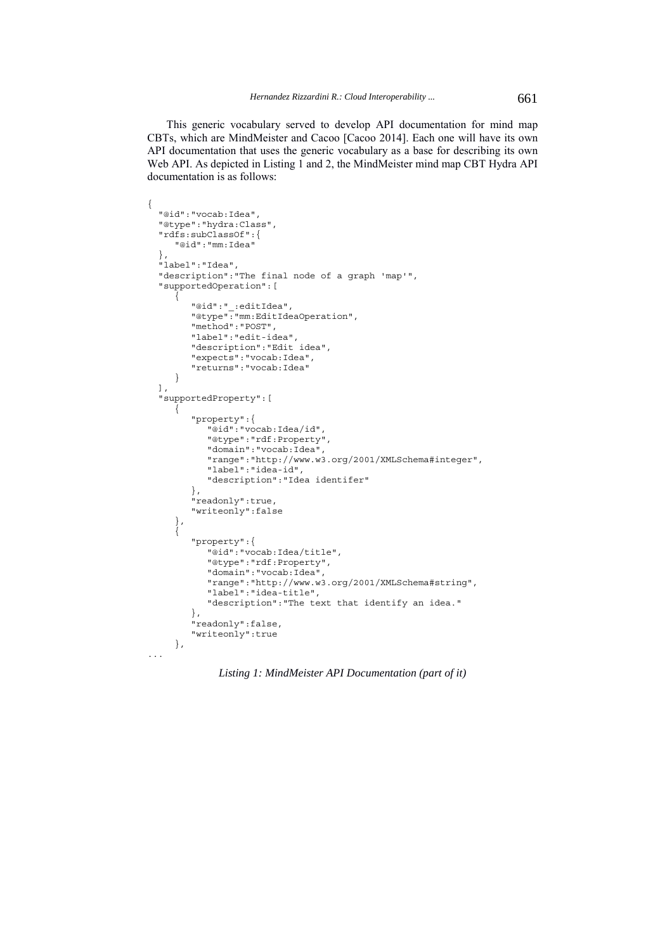This generic vocabulary served to develop API documentation for mind map CBTs, which are MindMeister and Cacoo [Cacoo 2014]. Each one will have its own API documentation that uses the generic vocabulary as a base for describing its own Web API. As depicted in Listing 1 and 2, the MindMeister mind map CBT Hydra API documentation is as follows:

```
{
  "@id":"vocab:Idea",
  "@type":"hydra:Class",
  "rdfs:subClassOf":{
      "@id":"mm:Idea"
  },
  "label":"Idea",
  "description":"The final node of a graph 'map'",
   "supportedOperation":[
\{ "@id":"_:editIdea",
 "@type":"mm:EditIdeaOperation",
         "method":"POST",
         "label":"edit-idea",
         "description":"Edit idea",
         "expects":"vocab:Idea",
         "returns":"vocab:Idea"
      }
  ],
  "supportedProperty":[
      {
         "property":{
            "@id":"vocab:Idea/id",
            "@type":"rdf:Property",
            "domain":"vocab:Idea",
            "range":"http://www.w3.org/2001/XMLSchema#integer",
            "label":"idea-id",
            "description":"Idea identifer"
         },
         "readonly":true,
         "writeonly":false
 },
\{ "property":{
            "@id":"vocab:Idea/title",
            "@type":"rdf:Property",
            "domain":"vocab:Idea",
            "range":"http://www.w3.org/2001/XMLSchema#string",
            "label":"idea-title",
            "description":"The text that identify an idea."
         },
         "readonly":false,
         "writeonly":true
     },
...
```
*Listing 1: MindMeister API Documentation (part of it)*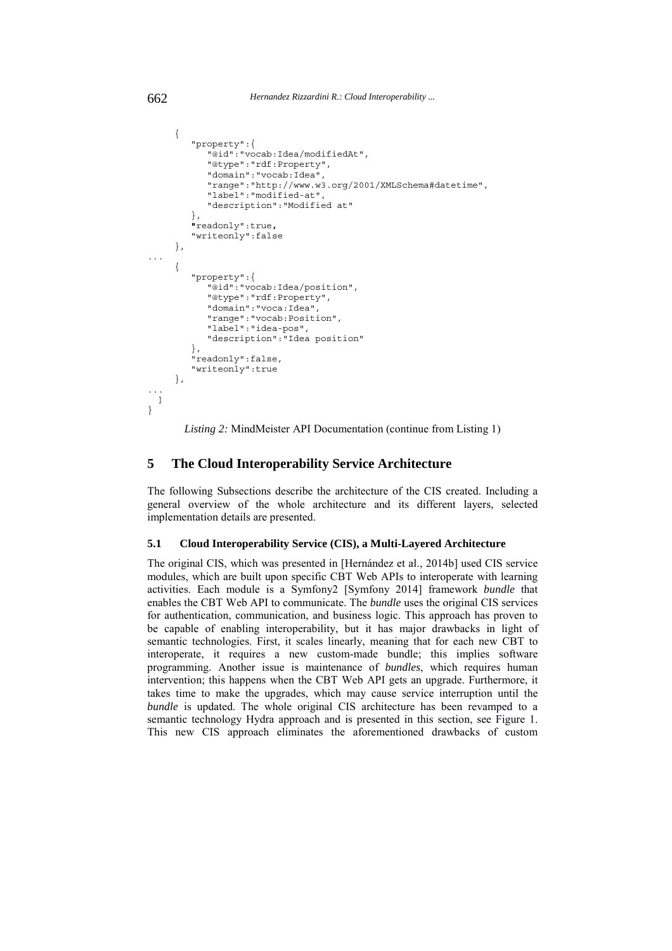```
 {
         "property":{
             "@id":"vocab:Idea/modifiedAt", 
             "@type":"rdf:Property",
             "domain":"vocab:Idea",
             "range":"http://www.w3.org/2001/XMLSchema#datetime",
             "label":"modified-at",
             "description":"Modified at"
         },
         "readonly":true,
         "writeonly":false
      },
...
      {
         "property":{
             "@id":"vocab:Idea/position",
             "@type":"rdf:Property",
             "domain":"voca:Idea",
             "range":"vocab:Position", 
             "label":"idea-pos",
             "description":"Idea position"
         },
         "readonly":false,
          "writeonly":true
      },
...
  ]
}
```
*Listing 2:* MindMeister API Documentation (continue from Listing 1)

# **5 The Cloud Interoperability Service Architecture**

The following Subsections describe the architecture of the CIS created. Including a general overview of the whole architecture and its different layers, selected implementation details are presented.

#### **5.1 Cloud Interoperability Service (CIS), a Multi-Layered Architecture**

The original CIS, which was presented in [Hernández et al., 2014b] used CIS service modules, which are built upon specific CBT Web APIs to interoperate with learning activities. Each module is a Symfony2 [Symfony 2014] framework *bundle* that enables the CBT Web API to communicate. The *bundle* uses the original CIS services for authentication, communication, and business logic. This approach has proven to be capable of enabling interoperability, but it has major drawbacks in light of semantic technologies. First, it scales linearly, meaning that for each new CBT to interoperate, it requires a new custom-made bundle; this implies software programming. Another issue is maintenance of *bundles*, which requires human intervention; this happens when the CBT Web API gets an upgrade. Furthermore, it takes time to make the upgrades, which may cause service interruption until the *bundle* is updated. The whole original CIS architecture has been revamped to a semantic technology Hydra approach and is presented in this section, see Figure 1. This new CIS approach eliminates the aforementioned drawbacks of custom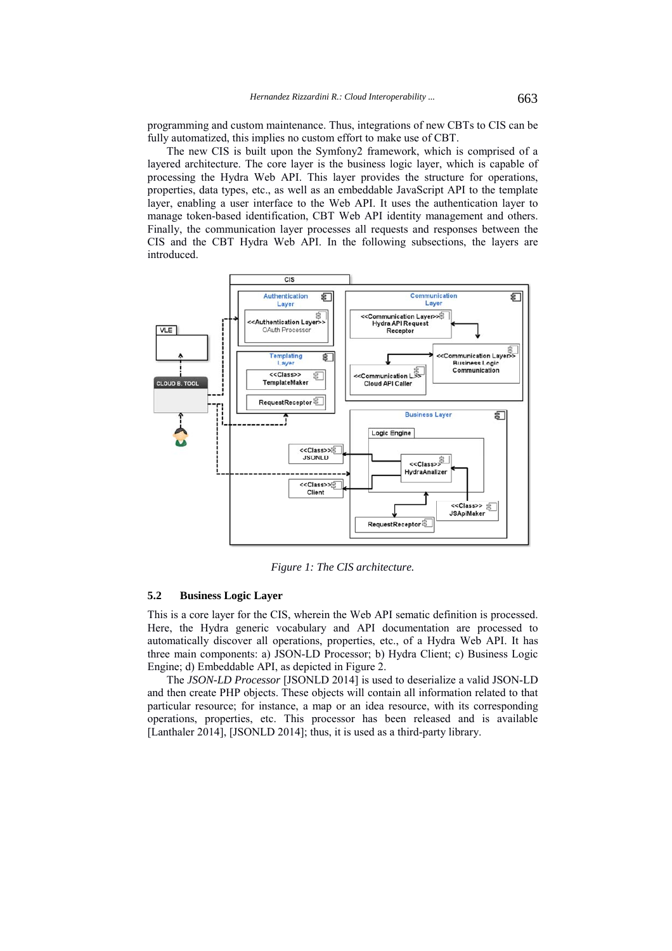programming and custom maintenance. Thus, integrations of new CBTs to CIS can be fully automatized, this implies no custom effort to make use of CBT.

The new CIS is built upon the Symfony2 framework, which is comprised of a layered architecture. The core layer is the business logic layer, which is capable of processing the Hydra Web API. This layer provides the structure for operations, properties, data types, etc., as well as an embeddable JavaScript API to the template layer, enabling a user interface to the Web API. It uses the authentication layer to manage token-based identification, CBT Web API identity management and others. Finally, the communication layer processes all requests and responses between the CIS and the CBT Hydra Web API. In the following subsections, the layers are introduced.



*Figure 1: The CIS architecture.*

#### **5.2 Business Logic Layer**

This is a core layer for the CIS, wherein the Web API sematic definition is processed. Here, the Hydra generic vocabulary and API documentation are processed to automatically discover all operations, properties, etc., of a Hydra Web API. It has three main components: a) JSON-LD Processor; b) Hydra Client; c) Business Logic Engine; d) Embeddable API, as depicted in Figure 2.

The *JSON-LD Processor* [JSONLD 2014] is used to deserialize a valid JSON-LD and then create PHP objects. These objects will contain all information related to that particular resource; for instance, a map or an idea resource, with its corresponding operations, properties, etc. This processor has been released and is available [Lanthaler 2014], [JSONLD 2014]; thus, it is used as a third-party library.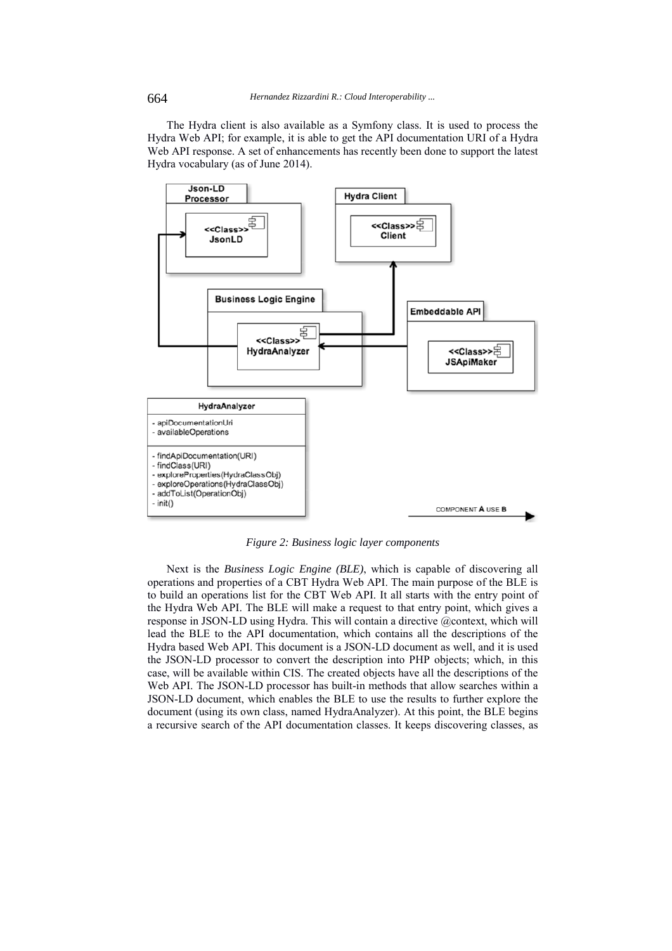The Hydra client is also available as a Symfony class. It is used to process the Hydra Web API; for example, it is able to get the API documentation URI of a Hydra Web API response. A set of enhancements has recently been done to support the latest Hydra vocabulary (as of June 2014).



*Figure 2: Business logic layer components*

Next is the *Business Logic Engine (BLE)*, which is capable of discovering all operations and properties of a CBT Hydra Web API. The main purpose of the BLE is to build an operations list for the CBT Web API. It all starts with the entry point of the Hydra Web API. The BLE will make a request to that entry point, which gives a response in JSON-LD using Hydra. This will contain a directive @context, which will lead the BLE to the API documentation, which contains all the descriptions of the Hydra based Web API. This document is a JSON-LD document as well, and it is used the JSON-LD processor to convert the description into PHP objects; which, in this case, will be available within CIS. The created objects have all the descriptions of the Web API. The JSON-LD processor has built-in methods that allow searches within a JSON-LD document, which enables the BLE to use the results to further explore the document (using its own class, named HydraAnalyzer). At this point, the BLE begins a recursive search of the API documentation classes. It keeps discovering classes, as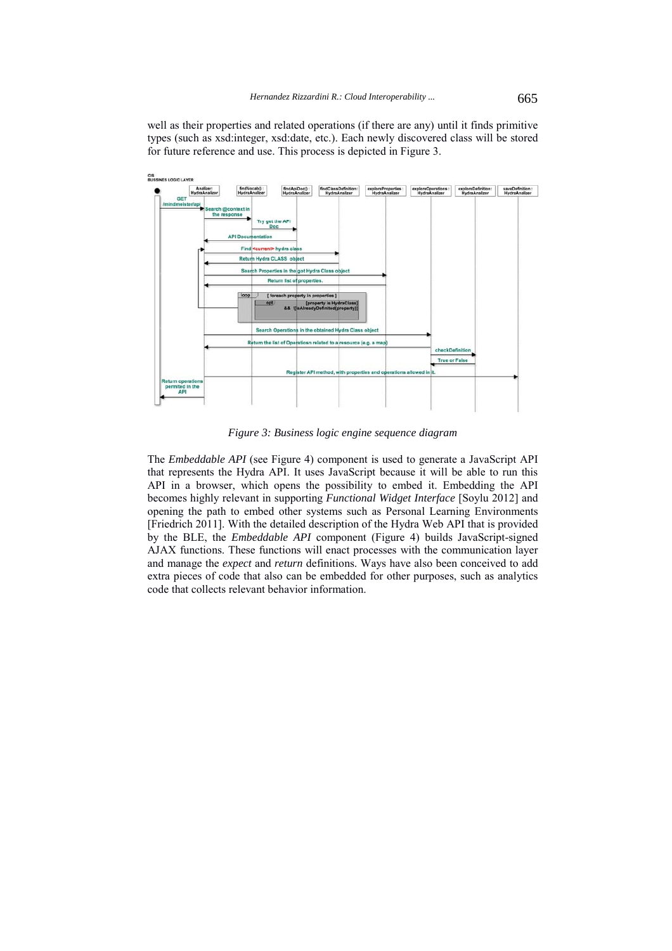well as their properties and related operations (if there are any) until it finds primitive types (such as xsd:integer, xsd:date, etc.). Each newly discovered class will be stored for future reference and use. This process is depicted in Figure 3.



*Figure 3: Business logic engine sequence diagram*

The *Embeddable API* (see Figure 4) component is used to generate a JavaScript API that represents the Hydra API. It uses JavaScript because it will be able to run this API in a browser, which opens the possibility to embed it. Embedding the API becomes highly relevant in supporting *Functional Widget Interface* [Soylu 2012] and opening the path to embed other systems such as Personal Learning Environments [Friedrich 2011]. With the detailed description of the Hydra Web API that is provided by the BLE, the *Embeddable API* component (Figure 4) builds JavaScript-signed AJAX functions. These functions will enact processes with the communication layer and manage the *expect* and *return* definitions. Ways have also been conceived to add extra pieces of code that also can be embedded for other purposes, such as analytics code that collects relevant behavior information.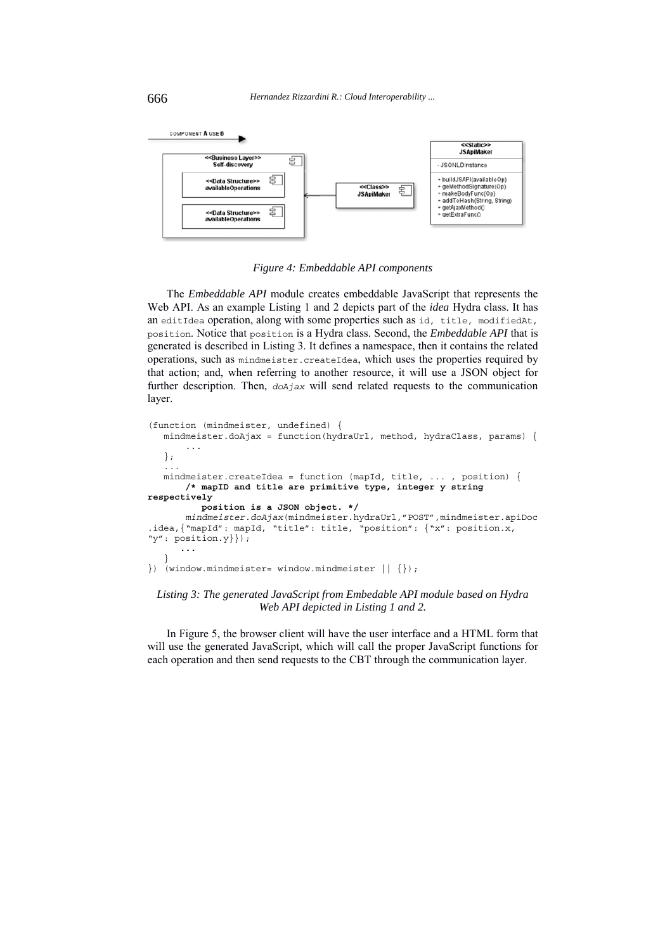

*Figure 4: Embeddable API components*

The *Embeddable API* module creates embeddable JavaScript that represents the Web API. As an example Listing 1 and 2 depicts part of the *idea* Hydra class. It has an editIdea operation, along with some properties such as id, title, modifiedAt, position. Notice that position is a Hydra class. Second, the *Embeddable API* that is generated is described in Listing 3. It defines a namespace, then it contains the related operations, such as mindmeister.createIdea, which uses the properties required by that action; and, when referring to another resource, it will use a JSON object for further description. Then, *doAjax* will send related requests to the communication layer.

```
(function (mindmeister, undefined) {
   mindmeister.doAjax = function(hydraUrl, method, hydraClass, params) {
 ...
    };
 ...
 mindmeister.createIdea = function (mapId, title, ... , position) {
        /* mapID and title are primitive type, integer y string 
respectively
          position is a JSON object. */
        mindmeister.doAjax(mindmeister.hydraUrl,"POST",mindmeister.apiDoc
.idea,{"mapId": mapId, "title": title, "position": {"x": position.x, 
"y": position.y}}); 
       ...
 }
\{ \}) (window.mindmeister= window.mindmeister || \{ \});
```
### *Listing 3: The generated JavaScript from Embedable API module based on Hydra Web API depicted in Listing 1 and 2.*

In Figure 5, the browser client will have the user interface and a HTML form that will use the generated JavaScript, which will call the proper JavaScript functions for each operation and then send requests to the CBT through the communication layer.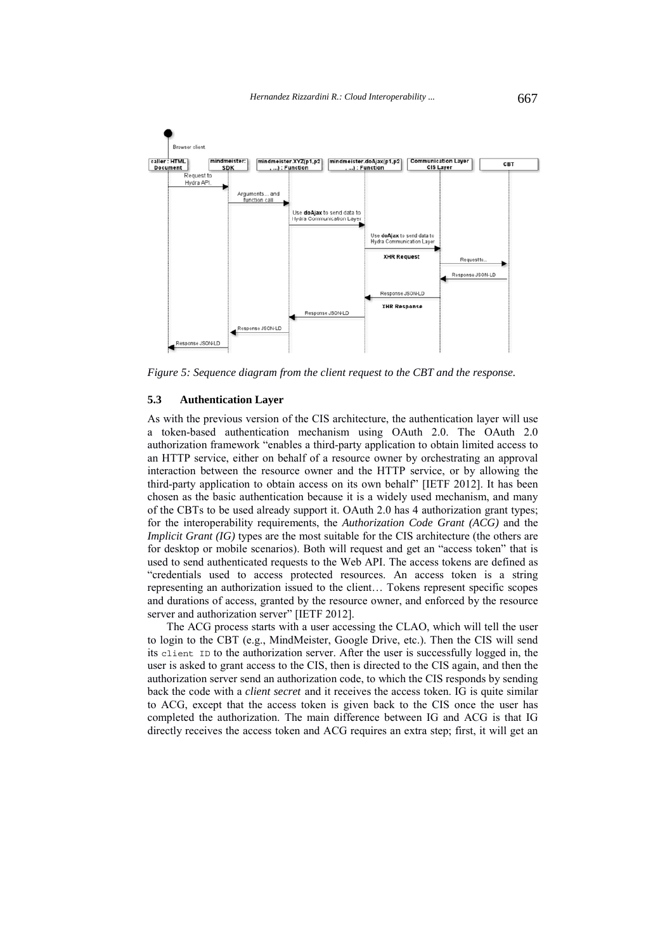

*Figure 5: Sequence diagram from the client request to the CBT and the response.*

#### **5.3 Authentication Layer**

As with the previous version of the CIS architecture, the authentication layer will use a token-based authentication mechanism using OAuth 2.0. The OAuth 2.0 authorization framework "enables a third-party application to obtain limited access to an HTTP service, either on behalf of a resource owner by orchestrating an approval interaction between the resource owner and the HTTP service, or by allowing the third-party application to obtain access on its own behalf" [IETF 2012]. It has been chosen as the basic authentication because it is a widely used mechanism, and many of the CBTs to be used already support it. OAuth 2.0 has 4 authorization grant types; for the interoperability requirements, the *Authorization Code Grant (ACG)* and the *Implicit Grant (IG)* types are the most suitable for the CIS architecture (the others are for desktop or mobile scenarios). Both will request and get an "access token" that is used to send authenticated requests to the Web API. The access tokens are defined as "credentials used to access protected resources. An access token is a string representing an authorization issued to the client… Tokens represent specific scopes and durations of access, granted by the resource owner, and enforced by the resource server and authorization server" [IETF 2012].

The ACG process starts with a user accessing the CLAO, which will tell the user to login to the CBT (e.g., MindMeister, Google Drive, etc.). Then the CIS will send its client ID to the authorization server. After the user is successfully logged in, the user is asked to grant access to the CIS, then is directed to the CIS again, and then the authorization server send an authorization code, to which the CIS responds by sending back the code with a *client secret* and it receives the access token. IG is quite similar to ACG, except that the access token is given back to the CIS once the user has completed the authorization. The main difference between IG and ACG is that IG directly receives the access token and ACG requires an extra step; first, it will get an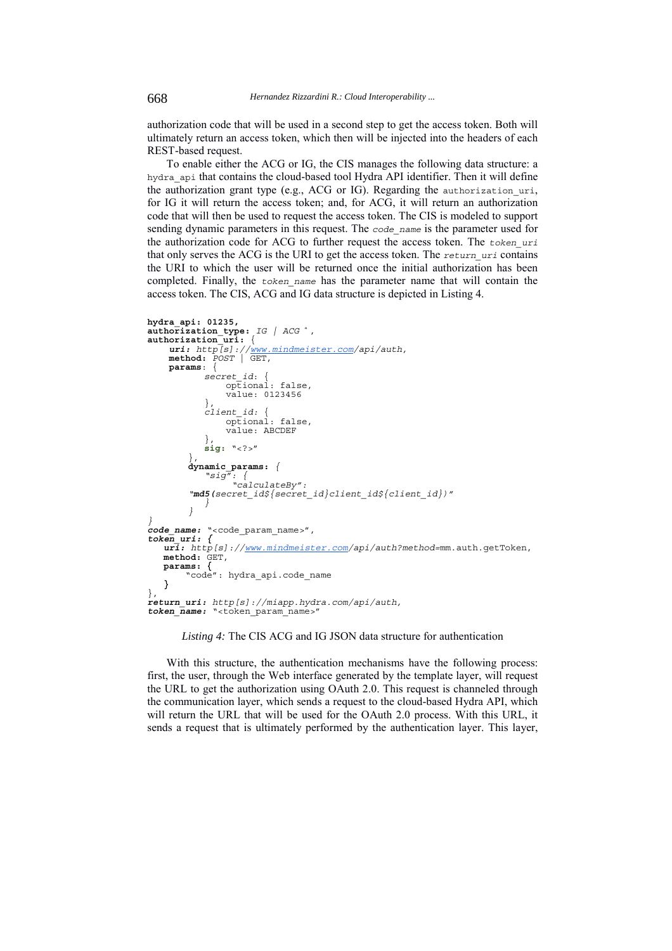authorization code that will be used in a second step to get the access token. Both will ultimately return an access token, which then will be injected into the headers of each REST-based request.

To enable either the ACG or IG, the CIS manages the following data structure: a hydra api that contains the cloud-based tool Hydra API identifier. Then it will define the authorization grant type (e.g., ACG or IG). Regarding the authorization\_uri, for IG it will return the access token; and, for ACG, it will return an authorization code that will then be used to request the access token. The CIS is modeled to support sending dynamic parameters in this request. The *code\_name* is the parameter used for the authorization code for ACG to further request the access token. The *token\_uri* that only serves the ACG is the URI to get the access token. The *return\_uri* contains the URI to which the user will be returned once the initial authorization has been completed. Finally, the *token\_name* has the parameter name that will contain the access token. The CIS, ACG and IG data structure is depicted in Listing 4.

```
hydra_api: 01235,
authorization_type: IG | ACG a
, authorization_uri: {
 uri: http[s]://www.mindmeister.com/api/auth,
 method: POST | GET,
     params: {
            secret_id: {
                optional: false,
                 value: 0123456
         },
 client_id: {
                 optional: false,
                 value: ABCDEF
         },
 sig: "<?>"
        },
dynamic_params: {
         "sig": {
 "calculateBy": 
        "md5(secret_id${secret_id}client_id${client_id})" }
} }
code_name: "<code_param_name>",
token_uri: {
   uri: http[s]://www.mindmeister.com/api/auth?method=mm.auth.getToken, method: GET,
   params: {
    "code": hydra_api.code_name }
},
return_uri: http[s]://miapp.hydra.com/api/auth,
token name: "<token param name>"
```
#### *Listing 4:* The CIS ACG and IG JSON data structure for authentication

With this structure, the authentication mechanisms have the following process: first, the user, through the Web interface generated by the template layer, will request the URL to get the authorization using OAuth 2.0. This request is channeled through the communication layer, which sends a request to the cloud-based Hydra API, which will return the URL that will be used for the OAuth 2.0 process. With this URL, it sends a request that is ultimately performed by the authentication layer. This layer,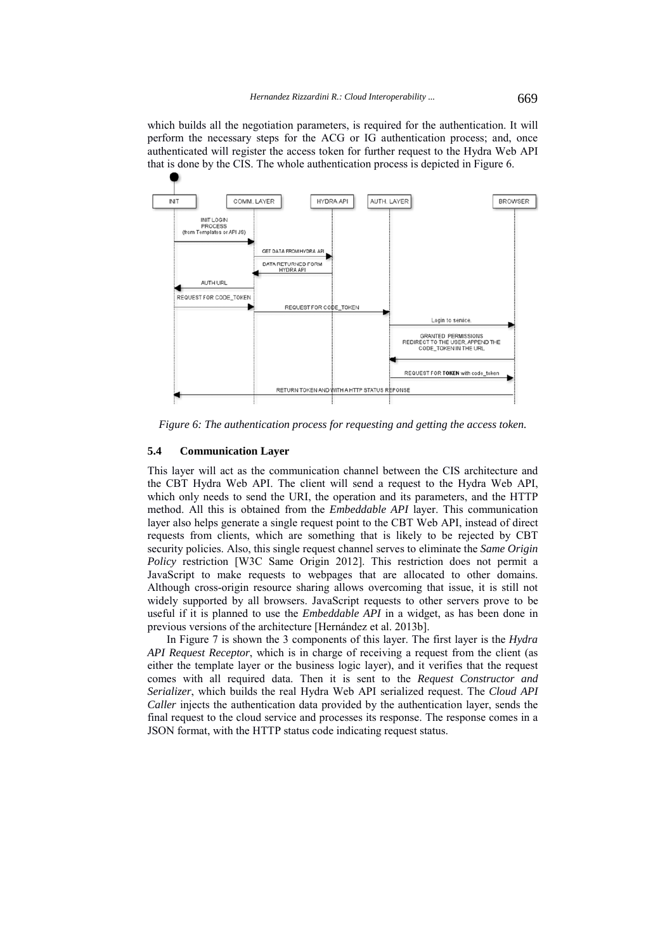which builds all the negotiation parameters, is required for the authentication. It will perform the necessary steps for the ACG or IG authentication process; and, once authenticated will register the access token for further request to the Hydra Web API that is done by the CIS. The whole authentication process is depicted in Figure 6.



*Figure 6: The authentication process for requesting and getting the access token.*

### **5.4 Communication Layer**

This layer will act as the communication channel between the CIS architecture and the CBT Hydra Web API. The client will send a request to the Hydra Web API, which only needs to send the URI, the operation and its parameters, and the HTTP method. All this is obtained from the *Embeddable API* layer. This communication layer also helps generate a single request point to the CBT Web API, instead of direct requests from clients, which are something that is likely to be rejected by CBT security policies. Also, this single request channel serves to eliminate the *Same Origin Policy* restriction [W3C Same Origin 2012]. This restriction does not permit a JavaScript to make requests to webpages that are allocated to other domains. Although cross-origin resource sharing allows overcoming that issue, it is still not widely supported by all browsers. JavaScript requests to other servers prove to be useful if it is planned to use the *Embeddable API* in a widget, as has been done in previous versions of the architecture [Hernández et al. 2013b].

In Figure 7 is shown the 3 components of this layer. The first layer is the *Hydra API Request Receptor*, which is in charge of receiving a request from the client (as either the template layer or the business logic layer), and it verifies that the request comes with all required data. Then it is sent to the *Request Constructor and Serializer*, which builds the real Hydra Web API serialized request. The *Cloud API Caller* injects the authentication data provided by the authentication layer, sends the final request to the cloud service and processes its response. The response comes in a JSON format, with the HTTP status code indicating request status.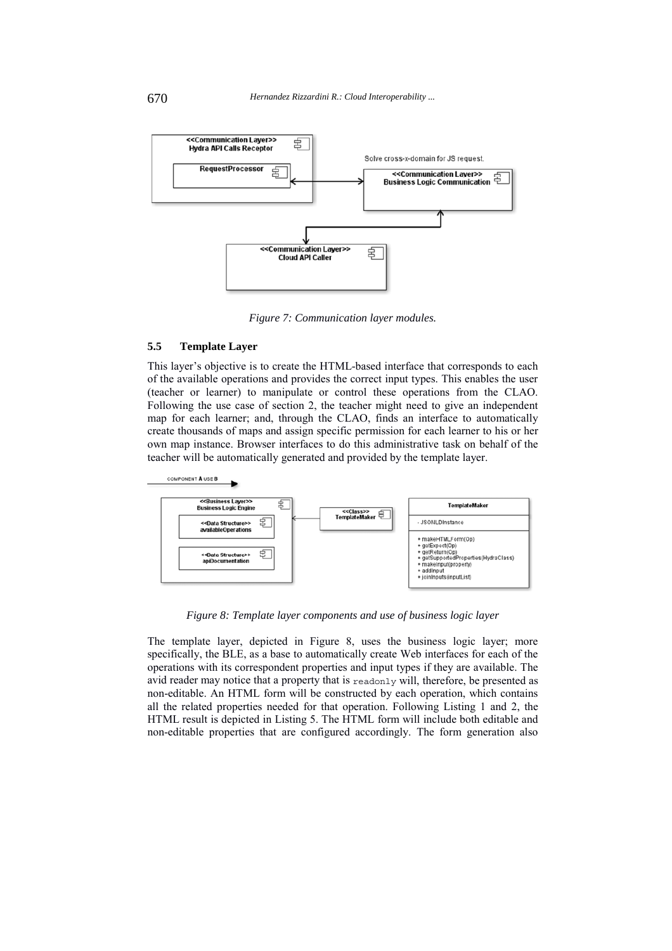

*Figure 7: Communication layer modules.*

### **5.5 Template Layer**

This layer's objective is to create the HTML-based interface that corresponds to each of the available operations and provides the correct input types. This enables the user (teacher or learner) to manipulate or control these operations from the CLAO. Following the use case of section 2, the teacher might need to give an independent map for each learner; and, through the CLAO, finds an interface to automatically create thousands of maps and assign specific permission for each learner to his or her own map instance. Browser interfaces to do this administrative task on behalf of the teacher will be automatically generated and provided by the template layer.



*Figure 8: Template layer components and use of business logic layer*

The template layer, depicted in Figure 8, uses the business logic layer; more specifically, the BLE, as a base to automatically create Web interfaces for each of the operations with its correspondent properties and input types if they are available. The avid reader may notice that a property that is readonly will, therefore, be presented as non-editable. An HTML form will be constructed by each operation, which contains all the related properties needed for that operation. Following Listing 1 and 2, the HTML result is depicted in Listing 5. The HTML form will include both editable and non-editable properties that are configured accordingly. The form generation also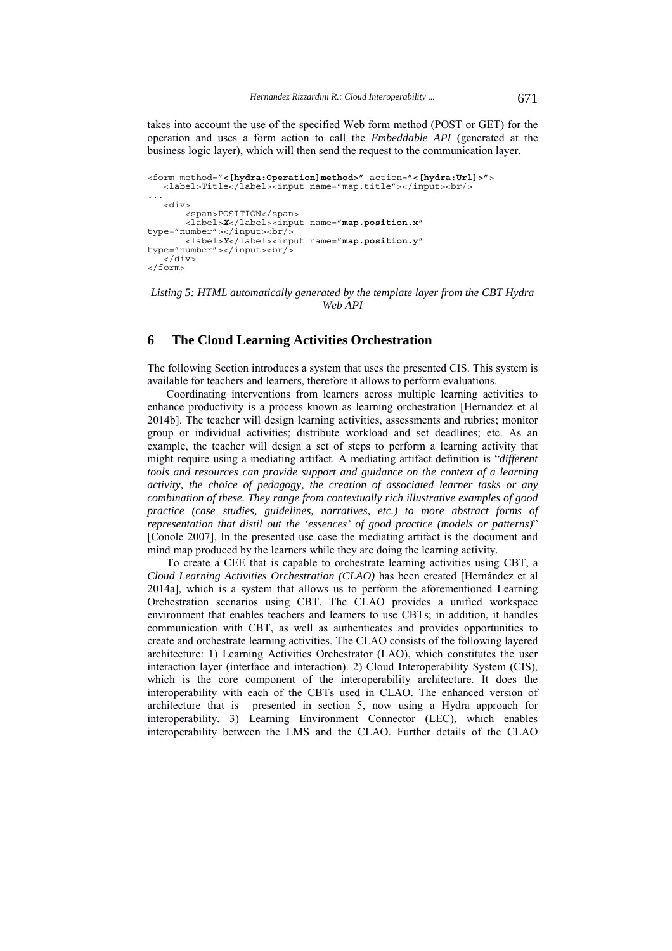takes into account the use of the specified Web form method (POST or GET) for the operation and uses a form action to call the *Embeddable API* (generated at the business logic layer), which will then send the request to the communication layer.

```
<form method="<[hydra:Operation]method>" action="<[hydra:Url]>">
  <label>Title</label><input name="map.title"></input><br/>>br/>
...
   <div>
        <span>POSITION</span>
        <label>X</label><input name="map.position.x" 
type="number">>/input>>br/~ <label>Y</label><input name="map.position.y" 
type="number"></input><br/>
    </div>
</form>
```
*Listing 5: HTML automatically generated by the template layer from the CBT Hydra Web API* 

# **6 The Cloud Learning Activities Orchestration**

The following Section introduces a system that uses the presented CIS. This system is available for teachers and learners, therefore it allows to perform evaluations.

Coordinating interventions from learners across multiple learning activities to enhance productivity is a process known as learning orchestration [Hernández et al 2014b]. The teacher will design learning activities, assessments and rubrics; monitor group or individual activities; distribute workload and set deadlines; etc. As an example, the teacher will design a set of steps to perform a learning activity that might require using a mediating artifact. A mediating artifact definition is "*different tools and resources can provide support and guidance on the context of a learning activity, the choice of pedagogy, the creation of associated learner tasks or any combination of these. They range from contextually rich illustrative examples of good practice (case studies, guidelines, narratives, etc.) to more abstract forms of representation that distil out the 'essences' of good practice (models or patterns)*" [Conole 2007]. In the presented use case the mediating artifact is the document and mind map produced by the learners while they are doing the learning activity.

To create a CEE that is capable to orchestrate learning activities using CBT, a *Cloud Learning Activities Orchestration (CLAO)* has been created [Hernández et al 2014a], which is a system that allows us to perform the aforementioned Learning Orchestration scenarios using CBT. The CLAO provides a unified workspace environment that enables teachers and learners to use CBTs; in addition, it handles communication with CBT, as well as authenticates and provides opportunities to create and orchestrate learning activities. The CLAO consists of the following layered architecture: 1) Learning Activities Orchestrator (LAO), which constitutes the user interaction layer (interface and interaction). 2) Cloud Interoperability System (CIS), which is the core component of the interoperability architecture. It does the interoperability with each of the CBTs used in CLAO. The enhanced version of architecture that is presented in section 5, now using a Hydra approach for interoperability. 3) Learning Environment Connector (LEC), which enables interoperability between the LMS and the CLAO. Further details of the CLAO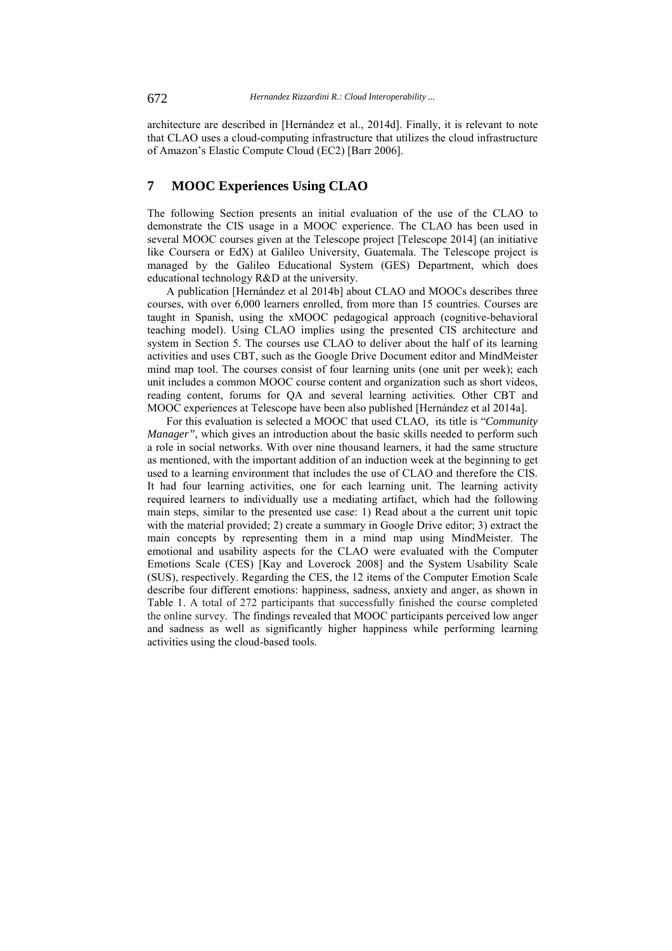architecture are described in [Hernández et al., 2014d]. Finally, it is relevant to note that CLAO uses a cloud-computing infrastructure that utilizes the cloud infrastructure of Amazon's Elastic Compute Cloud (EC2) [Barr 2006].

# **7 MOOC Experiences Using CLAO**

The following Section presents an initial evaluation of the use of the CLAO to demonstrate the CIS usage in a MOOC experience. The CLAO has been used in several MOOC courses given at the Telescope project [Telescope 2014] (an initiative like Coursera or EdX) at Galileo University, Guatemala. The Telescope project is managed by the Galileo Educational System (GES) Department, which does educational technology R&D at the university.

A publication [Hernández et al 2014b] about CLAO and MOOCs describes three courses, with over 6,000 learners enrolled, from more than 15 countries. Courses are taught in Spanish, using the xMOOC pedagogical approach (cognitive-behavioral teaching model). Using CLAO implies using the presented CIS architecture and system in Section 5. The courses use CLAO to deliver about the half of its learning activities and uses CBT, such as the Google Drive Document editor and MindMeister mind map tool. The courses consist of four learning units (one unit per week); each unit includes a common MOOC course content and organization such as short videos, reading content, forums for QA and several learning activities. Other CBT and MOOC experiences at Telescope have been also published [Hernández et al 2014a].

For this evaluation is selected a MOOC that used CLAO, its title is "*Community Manager*", which gives an introduction about the basic skills needed to perform such a role in social networks. With over nine thousand learners, it had the same structure as mentioned, with the important addition of an induction week at the beginning to get used to a learning environment that includes the use of CLAO and therefore the CIS. It had four learning activities, one for each learning unit. The learning activity required learners to individually use a mediating artifact, which had the following main steps, similar to the presented use case: 1) Read about a the current unit topic with the material provided; 2) create a summary in Google Drive editor; 3) extract the main concepts by representing them in a mind map using MindMeister. The emotional and usability aspects for the CLAO were evaluated with the Computer Emotions Scale (CES) [Kay and Loverock 2008] and the System Usability Scale (SUS), respectively. Regarding the CES, the 12 items of the Computer Emotion Scale describe four different emotions: happiness, sadness, anxiety and anger, as shown in Table 1. A total of 272 participants that successfully finished the course completed the online survey. The findings revealed that MOOC participants perceived low anger and sadness as well as significantly higher happiness while performing learning activities using the cloud-based tools.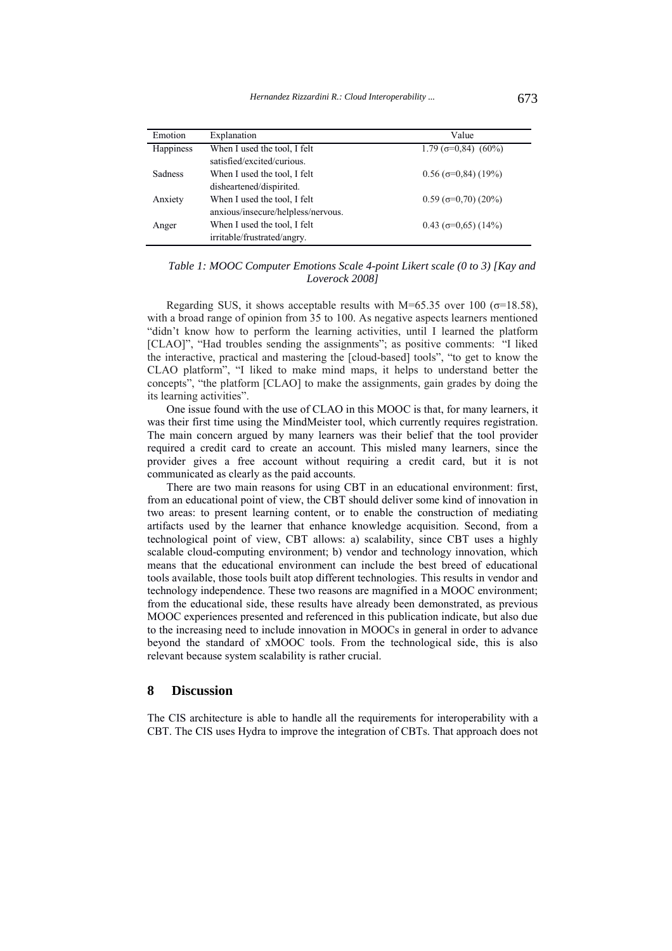| Emotion        | Explanation                        | Value                          |
|----------------|------------------------------------|--------------------------------|
| Happiness      | When I used the tool, I felt       | $1.79$ ( $\sigma$ =0.84) (60%) |
|                | satisfied/excited/curious.         |                                |
| <b>Sadness</b> | When I used the tool, I felt       | $0.56$ ( $\sigma$ =0.84) (19%) |
|                | disheartened/dispirited.           |                                |
| Anxiety        | When I used the tool, I felt       | $0.59$ ( $\sigma$ =0.70) (20%) |
|                | anxious/insecure/helpless/nervous. |                                |
| Anger          | When I used the tool, I felt       | $0.43$ ( $\sigma$ =0.65) (14%) |
|                | irritable/frustrated/angry.        |                                |

*Table 1: MOOC Computer Emotions Scale 4-point Likert scale (0 to 3) [Kay and Loverock 2008]*

Regarding SUS, it shows acceptable results with M=65.35 over 100 ( $\sigma$ =18.58), with a broad range of opinion from 35 to 100. As negative aspects learners mentioned "didn't know how to perform the learning activities, until I learned the platform [CLAO]", "Had troubles sending the assignments"; as positive comments: "I liked the interactive, practical and mastering the [cloud-based] tools", "to get to know the CLAO platform", "I liked to make mind maps, it helps to understand better the concepts", "the platform [CLAO] to make the assignments, gain grades by doing the its learning activities".

One issue found with the use of CLAO in this MOOC is that, for many learners, it was their first time using the MindMeister tool, which currently requires registration. The main concern argued by many learners was their belief that the tool provider required a credit card to create an account. This misled many learners, since the provider gives a free account without requiring a credit card, but it is not communicated as clearly as the paid accounts.

There are two main reasons for using CBT in an educational environment: first, from an educational point of view, the CBT should deliver some kind of innovation in two areas: to present learning content, or to enable the construction of mediating artifacts used by the learner that enhance knowledge acquisition. Second, from a technological point of view, CBT allows: a) scalability, since CBT uses a highly scalable cloud-computing environment; b) vendor and technology innovation, which means that the educational environment can include the best breed of educational tools available, those tools built atop different technologies. This results in vendor and technology independence. These two reasons are magnified in a MOOC environment; from the educational side, these results have already been demonstrated, as previous MOOC experiences presented and referenced in this publication indicate, but also due to the increasing need to include innovation in MOOCs in general in order to advance beyond the standard of xMOOC tools. From the technological side, this is also relevant because system scalability is rather crucial.

# **8 Discussion**

The CIS architecture is able to handle all the requirements for interoperability with a CBT. The CIS uses Hydra to improve the integration of CBTs. That approach does not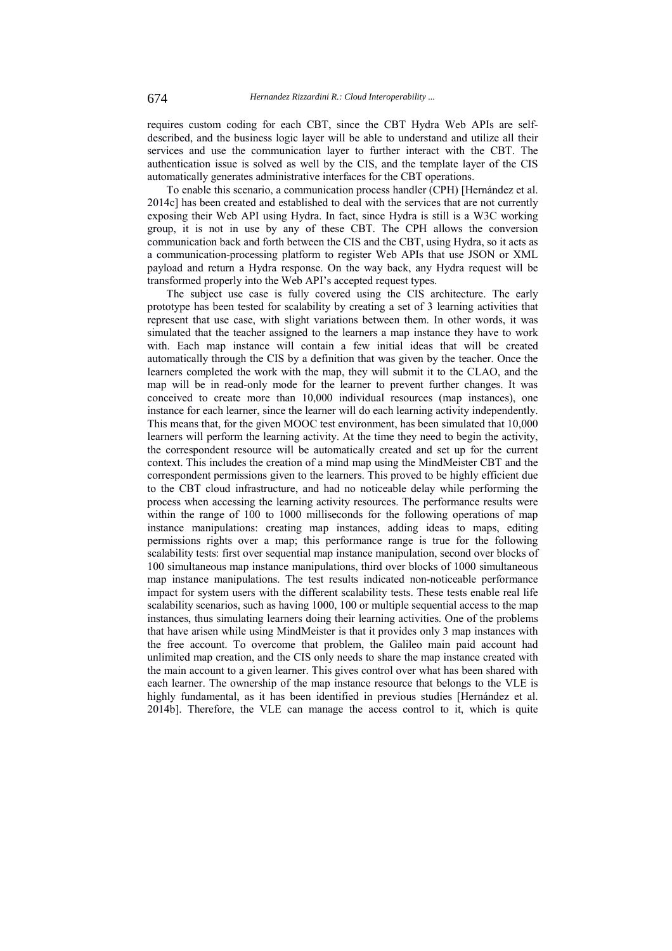requires custom coding for each CBT, since the CBT Hydra Web APIs are selfdescribed, and the business logic layer will be able to understand and utilize all their services and use the communication layer to further interact with the CBT. The authentication issue is solved as well by the CIS, and the template layer of the CIS automatically generates administrative interfaces for the CBT operations.

To enable this scenario, a communication process handler (CPH) [Hernández et al. 2014c] has been created and established to deal with the services that are not currently exposing their Web API using Hydra. In fact, since Hydra is still is a W3C working group, it is not in use by any of these CBT. The CPH allows the conversion communication back and forth between the CIS and the CBT, using Hydra, so it acts as a communication-processing platform to register Web APIs that use JSON or XML payload and return a Hydra response. On the way back, any Hydra request will be transformed properly into the Web API's accepted request types.

The subject use case is fully covered using the CIS architecture. The early prototype has been tested for scalability by creating a set of 3 learning activities that represent that use case, with slight variations between them. In other words, it was simulated that the teacher assigned to the learners a map instance they have to work with. Each map instance will contain a few initial ideas that will be created automatically through the CIS by a definition that was given by the teacher. Once the learners completed the work with the map, they will submit it to the CLAO, and the map will be in read-only mode for the learner to prevent further changes. It was conceived to create more than 10,000 individual resources (map instances), one instance for each learner, since the learner will do each learning activity independently. This means that, for the given MOOC test environment, has been simulated that 10,000 learners will perform the learning activity. At the time they need to begin the activity, the correspondent resource will be automatically created and set up for the current context. This includes the creation of a mind map using the MindMeister CBT and the correspondent permissions given to the learners. This proved to be highly efficient due to the CBT cloud infrastructure, and had no noticeable delay while performing the process when accessing the learning activity resources. The performance results were within the range of 100 to 1000 milliseconds for the following operations of map instance manipulations: creating map instances, adding ideas to maps, editing permissions rights over a map; this performance range is true for the following scalability tests: first over sequential map instance manipulation, second over blocks of 100 simultaneous map instance manipulations, third over blocks of 1000 simultaneous map instance manipulations. The test results indicated non-noticeable performance impact for system users with the different scalability tests. These tests enable real life scalability scenarios, such as having 1000, 100 or multiple sequential access to the map instances, thus simulating learners doing their learning activities. One of the problems that have arisen while using MindMeister is that it provides only 3 map instances with the free account. To overcome that problem, the Galileo main paid account had unlimited map creation, and the CIS only needs to share the map instance created with the main account to a given learner. This gives control over what has been shared with each learner. The ownership of the map instance resource that belongs to the VLE is highly fundamental, as it has been identified in previous studies [Hernández et al. 2014b]. Therefore, the VLE can manage the access control to it, which is quite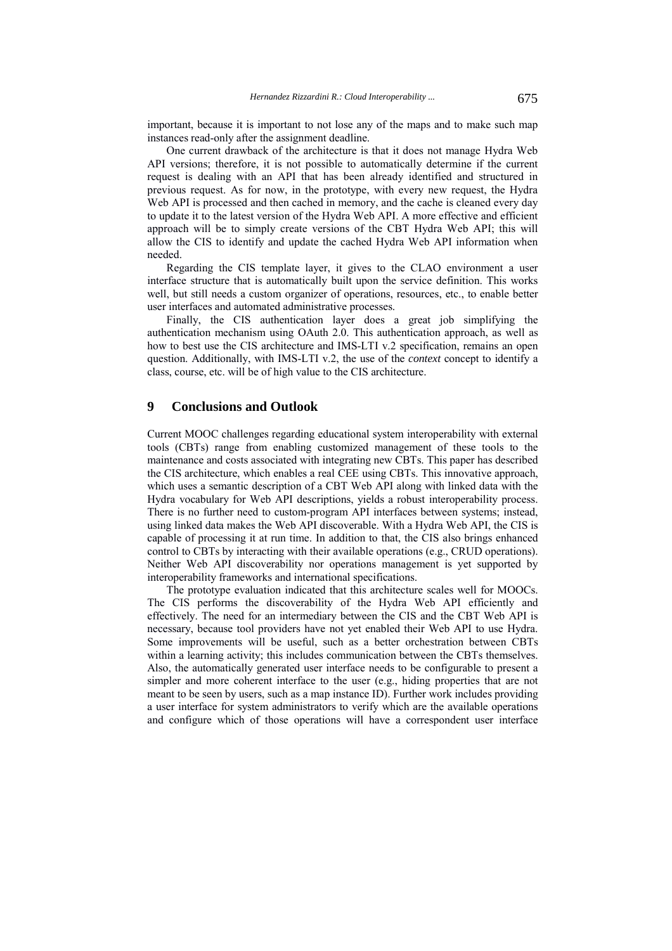important, because it is important to not lose any of the maps and to make such map instances read-only after the assignment deadline.

One current drawback of the architecture is that it does not manage Hydra Web API versions; therefore, it is not possible to automatically determine if the current request is dealing with an API that has been already identified and structured in previous request. As for now, in the prototype, with every new request, the Hydra Web API is processed and then cached in memory, and the cache is cleaned every day to update it to the latest version of the Hydra Web API. A more effective and efficient approach will be to simply create versions of the CBT Hydra Web API; this will allow the CIS to identify and update the cached Hydra Web API information when needed.

Regarding the CIS template layer, it gives to the CLAO environment a user interface structure that is automatically built upon the service definition. This works well, but still needs a custom organizer of operations, resources, etc., to enable better user interfaces and automated administrative processes.

Finally, the CIS authentication layer does a great job simplifying the authentication mechanism using OAuth 2.0. This authentication approach, as well as how to best use the CIS architecture and IMS-LTI v.2 specification, remains an open question. Additionally, with IMS-LTI v.2, the use of the *context* concept to identify a class, course, etc. will be of high value to the CIS architecture.

# **9 Conclusions and Outlook**

Current MOOC challenges regarding educational system interoperability with external tools (CBTs) range from enabling customized management of these tools to the maintenance and costs associated with integrating new CBTs. This paper has described the CIS architecture, which enables a real CEE using CBTs. This innovative approach, which uses a semantic description of a CBT Web API along with linked data with the Hydra vocabulary for Web API descriptions, yields a robust interoperability process. There is no further need to custom-program API interfaces between systems; instead, using linked data makes the Web API discoverable. With a Hydra Web API, the CIS is capable of processing it at run time. In addition to that, the CIS also brings enhanced control to CBTs by interacting with their available operations (e.g., CRUD operations). Neither Web API discoverability nor operations management is yet supported by interoperability frameworks and international specifications.

The prototype evaluation indicated that this architecture scales well for MOOCs. The CIS performs the discoverability of the Hydra Web API efficiently and effectively. The need for an intermediary between the CIS and the CBT Web API is necessary, because tool providers have not yet enabled their Web API to use Hydra. Some improvements will be useful, such as a better orchestration between CBTs within a learning activity; this includes communication between the CBTs themselves. Also, the automatically generated user interface needs to be configurable to present a simpler and more coherent interface to the user (e.g., hiding properties that are not meant to be seen by users, such as a map instance ID). Further work includes providing a user interface for system administrators to verify which are the available operations and configure which of those operations will have a correspondent user interface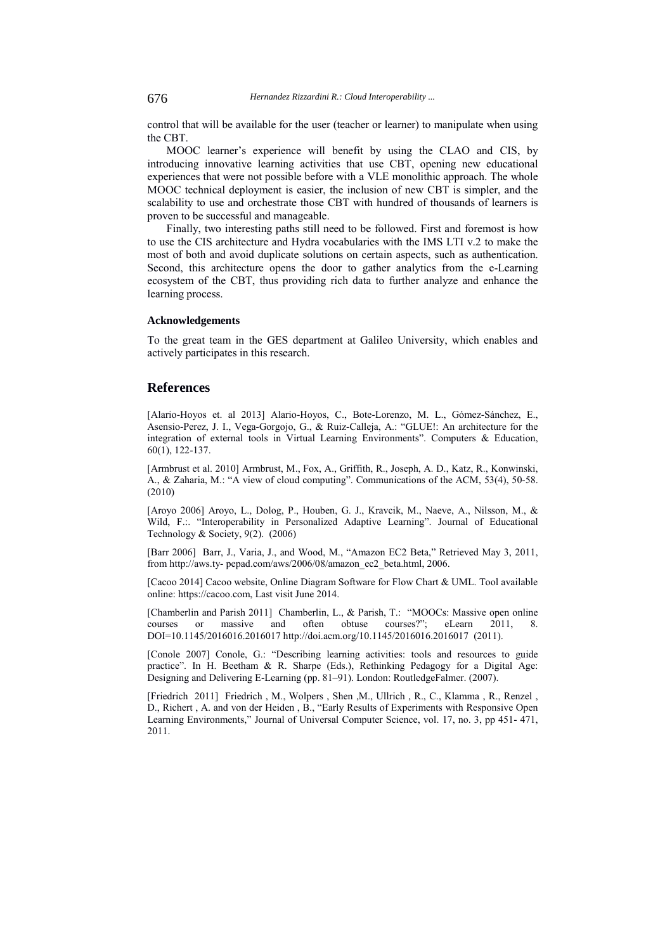control that will be available for the user (teacher or learner) to manipulate when using the CBT.

MOOC learner's experience will benefit by using the CLAO and CIS, by introducing innovative learning activities that use CBT, opening new educational experiences that were not possible before with a VLE monolithic approach. The whole MOOC technical deployment is easier, the inclusion of new CBT is simpler, and the scalability to use and orchestrate those CBT with hundred of thousands of learners is proven to be successful and manageable.

Finally, two interesting paths still need to be followed. First and foremost is how to use the CIS architecture and Hydra vocabularies with the IMS LTI v.2 to make the most of both and avoid duplicate solutions on certain aspects, such as authentication. Second, this architecture opens the door to gather analytics from the e-Learning ecosystem of the CBT, thus providing rich data to further analyze and enhance the learning process.

#### **Acknowledgements**

To the great team in the GES department at Galileo University, which enables and actively participates in this research.

### **References**

[Alario-Hoyos et. al 2013] Alario-Hoyos, C., Bote-Lorenzo, M. L., Gómez-Sánchez, E., Asensio-Perez, J. I., Vega-Gorgojo, G., & Ruiz-Calleja, A.: "GLUE!: An architecture for the integration of external tools in Virtual Learning Environments". Computers & Education, 60(1), 122-137.

[Armbrust et al. 2010] Armbrust, M., Fox, A., Griffith, R., Joseph, A. D., Katz, R., Konwinski, A., & Zaharia, M.: "A view of cloud computing". Communications of the ACM, 53(4), 50-58. (2010)

[Aroyo 2006] Aroyo, L., Dolog, P., Houben, G. J., Kravcik, M., Naeve, A., Nilsson, M., & Wild, F.:. "Interoperability in Personalized Adaptive Learning". Journal of Educational Technology & Society, 9(2). (2006)

[Barr 2006] Barr, J., Varia, J., and Wood, M., "Amazon EC2 Beta," Retrieved May 3, 2011, from http://aws.ty- pepad.com/aws/2006/08/amazon\_ec2\_beta.html, 2006.

[Cacoo 2014] Cacoo website, Online Diagram Software for Flow Chart & UML. Tool available online: https://cacoo.com, Last visit June 2014.

[Chamberlin and Parish 2011] Chamberlin, L., & Parish, T.: "MOOCs: Massive open online courses or massive and often obtuse courses?"; eLearn 2011, 8. courses or massive and often obtuse courses?"; eLearn 2011, DOI=10.1145/2016016.2016017 http://doi.acm.org/10.1145/2016016.2016017 (2011).

[Conole 2007] Conole, G.: "Describing learning activities: tools and resources to guide practice". In H. Beetham & R. Sharpe (Eds.), Rethinking Pedagogy for a Digital Age: Designing and Delivering E-Learning (pp. 81–91). London: RoutledgeFalmer. (2007).

[Friedrich 2011] Friedrich , M., Wolpers , Shen ,M., Ullrich , R., C., Klamma , R., Renzel , D., Richert , A. and von der Heiden , B., "Early Results of Experiments with Responsive Open Learning Environments," Journal of Universal Computer Science, vol. 17, no. 3, pp 451- 471, 2011.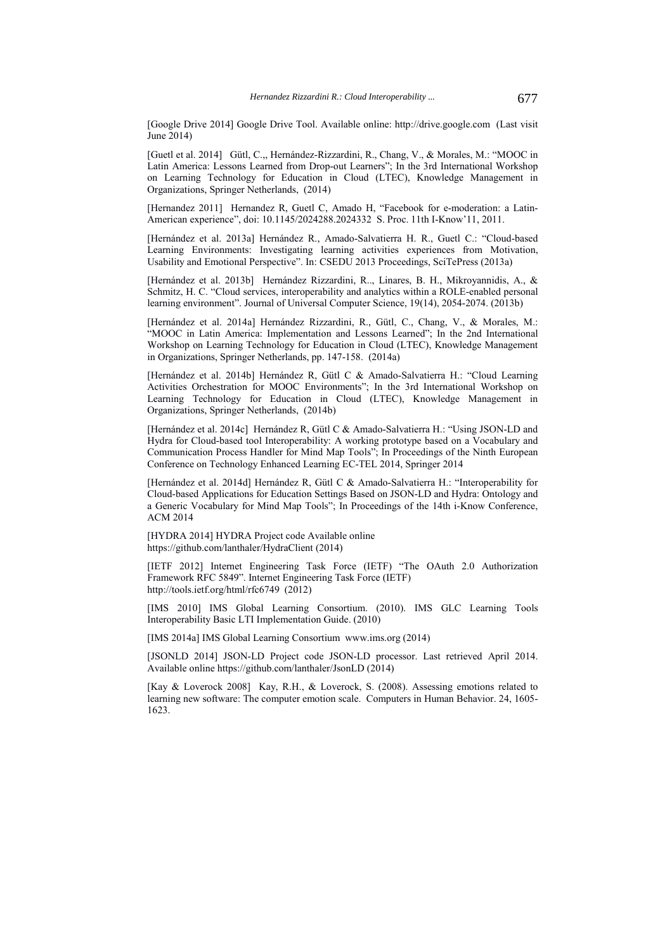[Google Drive 2014] Google Drive Tool. Available online: http://drive.google.com (Last visit June 2014)

[Guetl et al. 2014] Gütl, C.,, Hernández-Rizzardini, R., Chang, V., & Morales, M.: "MOOC in Latin America: Lessons Learned from Drop-out Learners"; In the 3rd International Workshop on Learning Technology for Education in Cloud (LTEC), Knowledge Management in Organizations, Springer Netherlands, (2014)

[Hernandez 2011] Hernandez R, Guetl C, Amado H, "Facebook for e-moderation: a Latin-American experience", doi: 10.1145/2024288.2024332 S. Proc. 11th I-Know'11, 2011.

[Hernández et al. 2013a] Hernández R., Amado-Salvatierra H. R., Guetl C.: "Cloud-based Learning Environments: Investigating learning activities experiences from Motivation, Usability and Emotional Perspective". In: CSEDU 2013 Proceedings, SciTePress (2013a)

[Hernández et al. 2013b] Hernández Rizzardini, R.., Linares, B. H., Mikroyannidis, A., & Schmitz, H. C. "Cloud services, interoperability and analytics within a ROLE-enabled personal learning environment". Journal of Universal Computer Science, 19(14), 2054-2074. (2013b)

[Hernández et al. 2014a] Hernández Rizzardini, R., Gütl, C., Chang, V., & Morales, M.: "MOOC in Latin America: Implementation and Lessons Learned"; In the 2nd International Workshop on Learning Technology for Education in Cloud (LTEC), Knowledge Management in Organizations, Springer Netherlands, pp. 147-158. (2014a)

[Hernández et al. 2014b] Hernández R, Gütl C & Amado-Salvatierra H.: "Cloud Learning Activities Orchestration for MOOC Environments"; In the 3rd International Workshop on Learning Technology for Education in Cloud (LTEC), Knowledge Management in Organizations, Springer Netherlands, (2014b)

[Hernández et al. 2014c] Hernández R, Gütl C & Amado-Salvatierra H.: "Using JSON-LD and Hydra for Cloud-based tool Interoperability: A working prototype based on a Vocabulary and Communication Process Handler for Mind Map Tools"; In Proceedings of the Ninth European Conference on Technology Enhanced Learning EC-TEL 2014, Springer 2014

[Hernández et al. 2014d] Hernández R, Gütl C & Amado-Salvatierra H.: "Interoperability for Cloud-based Applications for Education Settings Based on JSON-LD and Hydra: Ontology and a Generic Vocabulary for Mind Map Tools"; In Proceedings of the 14th i-Know Conference, ACM 2014

[HYDRA 2014] HYDRA Project code Available online https://github.com/lanthaler/HydraClient (2014)

[IETF 2012] Internet Engineering Task Force (IETF) "The OAuth 2.0 Authorization Framework RFC 5849". Internet Engineering Task Force (IETF) http://tools.ietf.org/html/rfc6749 (2012)

[IMS 2010] IMS Global Learning Consortium. (2010). IMS GLC Learning Tools Interoperability Basic LTI Implementation Guide. (2010)

[IMS 2014a] IMS Global Learning Consortium www.ims.org (2014)

[JSONLD 2014] JSON-LD Project code JSON-LD processor. Last retrieved April 2014. Available online https://github.com/lanthaler/JsonLD (2014)

[Kay & Loverock 2008] Kay, R.H., & Loverock, S. (2008). Assessing emotions related to learning new software: The computer emotion scale. Computers in Human Behavior. 24, 1605- 1623.